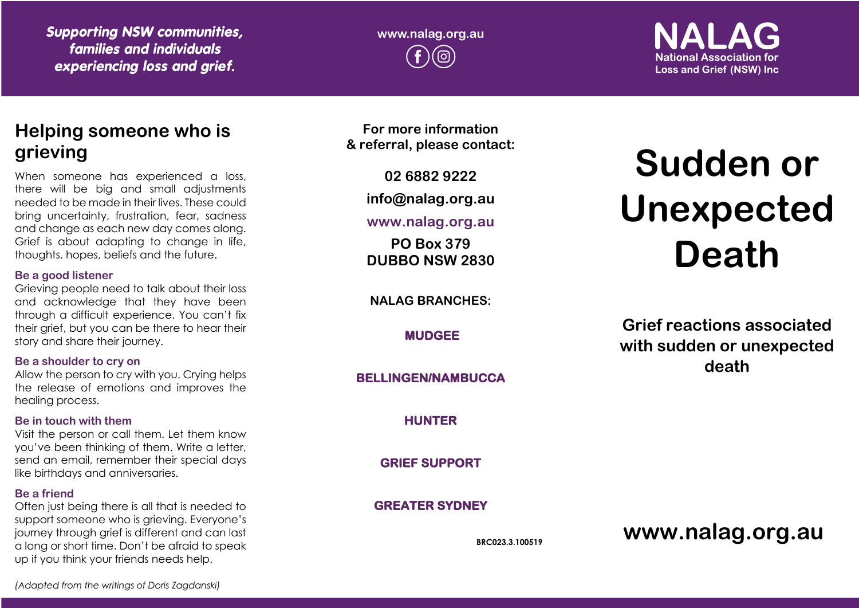*Supporting NSW communities, families and individuals experiencing loss and grief.*

**www.nalag.org.au**

**National Association for Loss and Grief (NSW) Inc.** 

# **Helping someone who is grieving**

When someone has experienced a loss, there will be big and small adjustments needed to be made in their lives. These could bring uncertainty, frustration, fear, sadness and change as each new day comes along. Grief is about adapting to change in life, thoughts, hopes, beliefs and the future.

#### **Be a good listener**

Grieving people need to talk about their loss and acknowledge that they have been through a difficult experience. You can't fix their grief, but you can be there to hear their story and share their journey.

#### **Be a shoulder to cry on**

Allow the person to cry with you. Crying helps the release of emotions and improves the healing process.

#### **Be in touch with them**

Visit the person or call them. Let them know you've been thinking of them. Write a letter, send an email, remember their special days like birthdays and anniversaries.

#### **Be a friend**

Often just being there is all that is needed to support someone who is grieving. Everyone's journey through grief is different and can last a long or short time. Don't be afraid to speak up if you think your friends needs help.

**For more information & referral, please contact:**

**02 6882 9222**

**info@nalag.org.au**

#### **www.nalag.org.au**

**PO Box 379 DUBBO NSW 2830**

**NALAG BRANCHES:**

**MUDGEE** 

#### **BELLINGEN/NAMBUCCA**

**HUNTER** 

**GRIEF SUPPORT** 

## **GREATER SYDNEY**

**BRC023.3.100519**

# **Sudden or Unexpected Death**

**Grief reactions associated with sudden or unexpected death**

**www.nalag.org.au**

*(Adapted from the writings of Doris Zagdanski)*